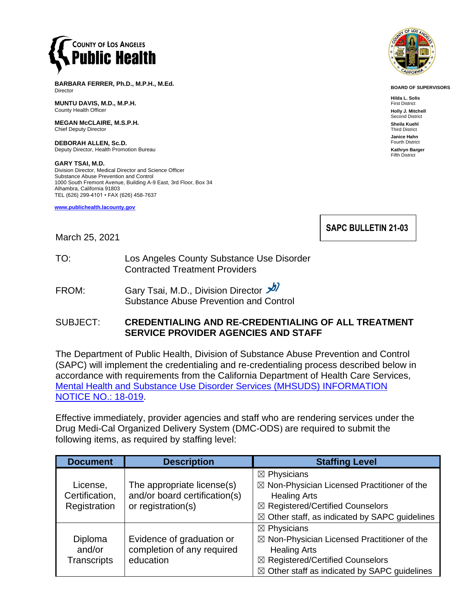

**BARBARA FERRER, Ph.D., M.P.H., M.Ed.** Director

**MUNTU DAVIS, M.D., M.P.H.** County Health Officer

**MEGAN McCLAIRE, M.S.P.H.** Chief Deputy Director

**DEBORAH ALLEN, Sc.D.** Deputy Director, Health Promotion Bureau

**GARY TSAI, M.D.** Division Director, Medical Director and Science Officer Substance Abuse Prevention and Control 1000 South Fremont Avenue, Building A-9 East, 3rd Floor, Box 34 Alhambra, California 91803 TEL (626) 299-4101 • FAX (626) 458-7637

**[www.publichealth.lacounty.gov](http://www.publichealth.lacounty.gov/)**



**BOARD OF SUPERVISORS**

**Hilda L. Solis** First District **Holly J. Mitchell** Second District **Sheila Kuehl** Third District **Janice Hahn** Fourth District **Kathryn Barger**

Fifth District

**SAPC BULLETIN 21-03**

March 25, 2021

- TO: Los Angeles County Substance Use Disorder Contracted Treatment Providers
- FROM: Gary Tsai, M.D., Division Director  $\frac{1}{\sqrt{2}}$ Substance Abuse Prevention and Control

### SUBJECT: **CREDENTIALING AND RE-CREDENTIALING OF ALL TREATMENT SERVICE PROVIDER AGENCIES AND STAFF**

The Department of Public Health, Division of Substance Abuse Prevention and Control (SAPC) will implement the credentialing and re-credentialing process described below in accordance with requirements from the California Department of Health Care Services, [Mental Health and Substance Use Disorder Services \(MHSUDS\) INFORMATION](https://www.dhcs.ca.gov/services/MH/Documents/Information%20Notices/IN%2018-019%20PROVIDER%20CREDENTIALING%20AND%20RE-CREDENTIALING/MHSUDS_Information%20Notice_18-019_Final%20Rule_Credentialing.pdf)  [NOTICE NO.: 18-019.](https://www.dhcs.ca.gov/services/MH/Documents/Information%20Notices/IN%2018-019%20PROVIDER%20CREDENTIALING%20AND%20RE-CREDENTIALING/MHSUDS_Information%20Notice_18-019_Final%20Rule_Credentialing.pdf)

Effective immediately, provider agencies and staff who are rendering services under the Drug Medi-Cal Organized Delivery System (DMC-ODS) are required to submit the following items, as required by staffing level:

| <b>Document</b>    | <b>Description</b>            | <b>Staffing Level</b>                                    |
|--------------------|-------------------------------|----------------------------------------------------------|
|                    |                               | $\boxtimes$ Physicians                                   |
| License,           | The appropriate license(s)    | $\boxtimes$ Non-Physician Licensed Practitioner of the   |
| Certification,     | and/or board certification(s) | <b>Healing Arts</b>                                      |
| Registration       | or registration(s)            | ⊠ Registered/Certified Counselors                        |
|                    |                               | $\boxtimes$ Other staff, as indicated by SAPC guidelines |
|                    |                               | $\boxtimes$ Physicians                                   |
| Diploma            | Evidence of graduation or     | $\boxtimes$ Non-Physician Licensed Practitioner of the   |
| and/or             | completion of any required    | <b>Healing Arts</b>                                      |
| <b>Transcripts</b> | education                     | ⊠ Registered/Certified Counselors                        |
|                    |                               | $\boxtimes$ Other staff as indicated by SAPC guidelines  |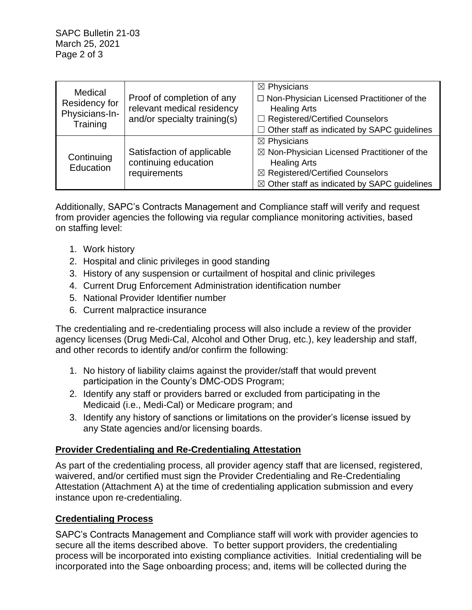SAPC Bulletin 21-03 March 25, 2021 Page 2 of 3

| Medical<br>Residency for<br>Physicians-In-<br>Training |                              | $\boxtimes$ Physicians                                  |
|--------------------------------------------------------|------------------------------|---------------------------------------------------------|
|                                                        | Proof of completion of any   | □ Non-Physician Licensed Practitioner of the            |
|                                                        | relevant medical residency   | <b>Healing Arts</b>                                     |
|                                                        | and/or specialty training(s) | □ Registered/Certified Counselors                       |
|                                                        |                              | $\Box$ Other staff as indicated by SAPC guidelines      |
| Continuing<br>Education                                |                              | $\boxtimes$ Physicians                                  |
|                                                        | Satisfaction of applicable   | $\boxtimes$ Non-Physician Licensed Practitioner of the  |
|                                                        | continuing education         | <b>Healing Arts</b>                                     |
|                                                        | requirements                 | ⊠ Registered/Certified Counselors                       |
|                                                        |                              | $\boxtimes$ Other staff as indicated by SAPC guidelines |

Additionally, SAPC's Contracts Management and Compliance staff will verify and request from provider agencies the following via regular compliance monitoring activities, based on staffing level:

- 1. Work history
- 2. Hospital and clinic privileges in good standing
- 3. History of any suspension or curtailment of hospital and clinic privileges
- 4. Current Drug Enforcement Administration identification number
- 5. National Provider Identifier number
- 6. Current malpractice insurance

The credentialing and re-credentialing process will also include a review of the provider agency licenses (Drug Medi-Cal, Alcohol and Other Drug, etc.), key leadership and staff, and other records to identify and/or confirm the following:

- 1. No history of liability claims against the provider/staff that would prevent participation in the County's DMC-ODS Program;
- 2. Identify any staff or providers barred or excluded from participating in the Medicaid (i.e., Medi-Cal) or Medicare program; and
- 3. Identify any history of sanctions or limitations on the provider's license issued by any State agencies and/or licensing boards.

## **Provider Credentialing and Re-Credentialing Attestation**

As part of the credentialing process, all provider agency staff that are licensed, registered, waivered, and/or certified must sign the Provider Credentialing and Re-Credentialing Attestation (Attachment A) at the time of credentialing application submission and every instance upon re-credentialing.

## **Credentialing Process**

SAPC's Contracts Management and Compliance staff will work with provider agencies to secure all the items described above. To better support providers, the credentialing process will be incorporated into existing compliance activities. Initial credentialing will be incorporated into the Sage onboarding process; and, items will be collected during the